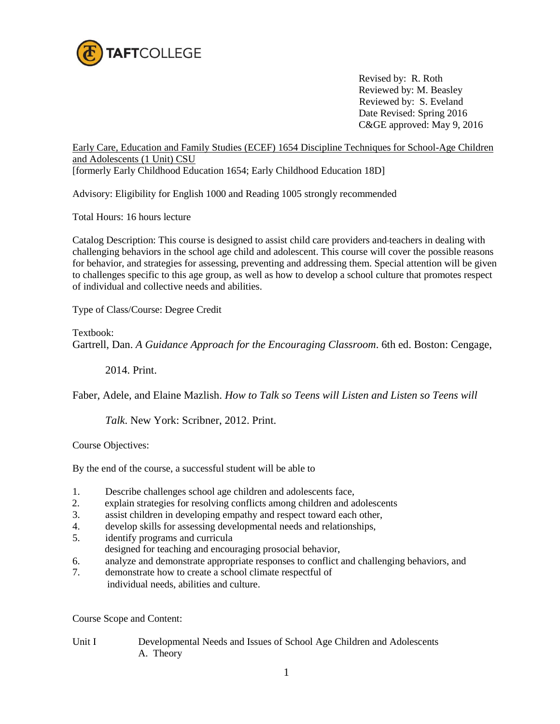

 Revised by: R. Roth Reviewed by: M. Beasley Reviewed by: S. Eveland Date Revised: Spring 2016 C&GE approved: May 9, 2016

Early Care, Education and Family Studies (ECEF) 1654 Discipline Techniques for School-Age Children and Adolescents (1 Unit) CSU

[formerly Early Childhood Education 1654; Early Childhood Education 18D]

Advisory: Eligibility for English 1000 and Reading 1005 strongly recommended

Total Hours: 16 hours lecture

Catalog Description: This course is designed to assist child care providers and teachers in dealing with challenging behaviors in the school age child and adolescent. This course will cover the possible reasons for behavior, and strategies for assessing, preventing and addressing them. Special attention will be given to challenges specific to this age group, as well as how to develop a school culture that promotes respect of individual and collective needs and abilities.

Type of Class/Course: Degree Credit

Textbook: Gartrell, Dan. *A Guidance Approach for the Encouraging Classroom*. 6th ed. Boston: Cengage,

2014. Print.

Faber, Adele, and Elaine Mazlish. *How to Talk so Teens will Listen and Listen so Teens will* 

*Talk*. New York: Scribner, 2012. Print.

Course Objectives:

By the end of the course, a successful student will be able to

- 1. Describe challenges school age children and adolescents face,
- 2. explain strategies for resolving conflicts among children and adolescents
- 3. assist children in developing empathy and respect toward each other,
- 4. develop skills for assessing developmental needs and relationships,
- 5. identify programs and curricula
- designed for teaching and encouraging prosocial behavior,
- 6. analyze and demonstrate appropriate responses to conflict and challenging behaviors, and
- 7. demonstrate how to create a school climate respectful of individual needs, abilities and culture.

Course Scope and Content:

Unit I Developmental Needs and Issues of School Age Children and Adolescents A. Theory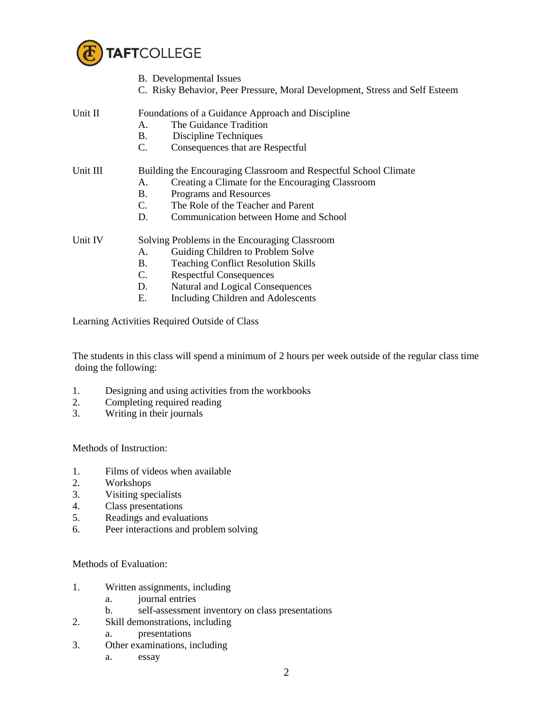

Learning Activities Required Outside of Class

2. Completing required reading 3. Writing in their journals

1. Films of videos when available

1. Written assignments, including a. journal entries

2. Skill demonstrations, including a. presentations 3. Other examinations, including

a. essay

6. Peer interactions and problem solving

b. self-assessment inventory on class presentations

1. Designing and using activities from the workbooks

doing the following:

Methods of Instruction:

3. Visiting specialists 4. Class presentations 5. Readings and evaluations

Methods of Evaluation:

2. Workshops

|          | <b>B.</b> Developmental Issues                                              |  |
|----------|-----------------------------------------------------------------------------|--|
|          | C. Risky Behavior, Peer Pressure, Moral Development, Stress and Self Esteem |  |
| Unit II  | Foundations of a Guidance Approach and Discipline                           |  |
|          | The Guidance Tradition<br>А.                                                |  |
|          | Discipline Techniques<br>Β.                                                 |  |
|          | C.<br>Consequences that are Respectful                                      |  |
| Unit III | Building the Encouraging Classroom and Respectful School Climate            |  |
|          | Creating a Climate for the Encouraging Classroom<br>А.                      |  |
|          | Programs and Resources<br><b>B.</b>                                         |  |
|          | The Role of the Teacher and Parent<br>C.                                    |  |
|          | D.<br>Communication between Home and School                                 |  |
| Unit IV  | Solving Problems in the Encouraging Classroom                               |  |
|          | Guiding Children to Problem Solve<br>А.                                     |  |
|          | В.<br><b>Teaching Conflict Resolution Skills</b>                            |  |
|          | <b>Respectful Consequences</b><br>C.                                        |  |
|          | Natural and Logical Consequences<br>D.                                      |  |
|          | Е.<br>Including Children and Adolescents                                    |  |

The students in this class will spend a minimum of 2 hours per week outside of the regular class time

2